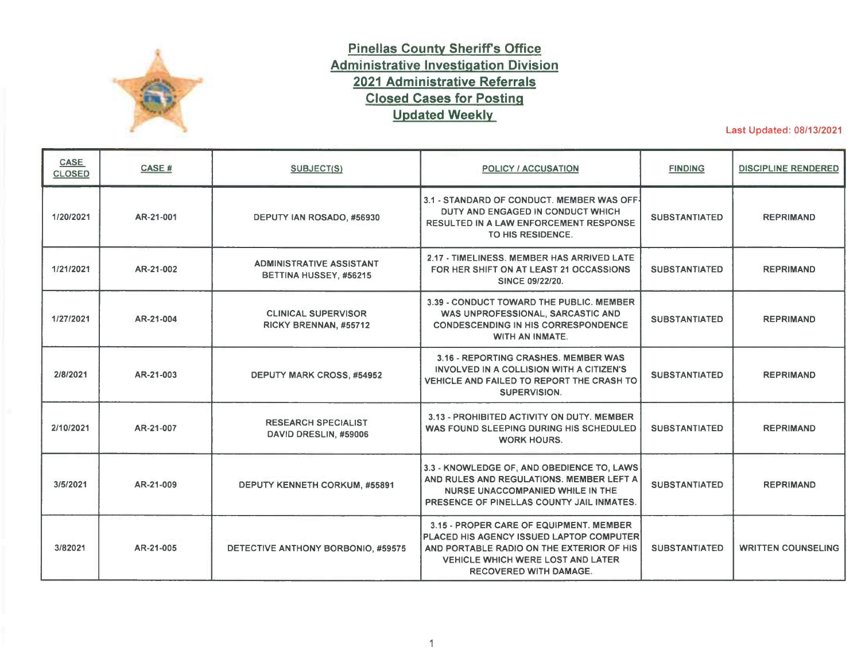

## **Pinellas County Sheriffs Office Administrative Investigation Division 2021 Administrative Referrals Closed Cases for Posting Updated Weekly**

Last Updated: 08/13/2021

| <b>CASE</b><br><b>CLOSED</b> | CASE#     | <b>SUBJECT(S)</b>                                         | <b>POLICY / ACCUSATION</b>                                                                                                                                                                                    | <b>FINDING</b>       | <b>DISCIPLINE RENDERED</b> |
|------------------------------|-----------|-----------------------------------------------------------|---------------------------------------------------------------------------------------------------------------------------------------------------------------------------------------------------------------|----------------------|----------------------------|
| 1/20/2021                    | AR-21-001 | DEPUTY IAN ROSADO, #56930                                 | 3.1 - STANDARD OF CONDUCT. MEMBER WAS OFF-<br>DUTY AND ENGAGED IN CONDUCT WHICH<br>RESULTED IN A LAW ENFORCEMENT RESPONSE<br>TO HIS RESIDENCE.                                                                | <b>SUBSTANTIATED</b> | <b>REPRIMAND</b>           |
| 1/21/2021                    | AR-21-002 | <b>ADMINISTRATIVE ASSISTANT</b><br>BETTINA HUSSEY, #56215 | 2.17 - TIMELINESS, MEMBER HAS ARRIVED LATE<br>FOR HER SHIFT ON AT LEAST 21 OCCASSIONS<br>SINCE 09/22/20.                                                                                                      | <b>SUBSTANTIATED</b> | <b>REPRIMAND</b>           |
| 1/27/2021                    | AR-21-004 | <b>CLINICAL SUPERVISOR</b><br>RICKY BRENNAN, #55712       | 3.39 - CONDUCT TOWARD THE PUBLIC, MEMBER<br>WAS UNPROFESSIONAL, SARCASTIC AND<br><b>CONDESCENDING IN HIS CORRESPONDENCE</b><br>WITH AN INMATE.                                                                | <b>SUBSTANTIATED</b> | <b>REPRIMAND</b>           |
| 2/8/2021                     | AR-21-003 | <b>DEPUTY MARK CROSS, #54952</b>                          | 3.16 - REPORTING CRASHES, MEMBER WAS<br>INVOLVED IN A COLLISION WITH A CITIZEN'S<br>VEHICLE AND FAILED TO REPORT THE CRASH TO<br>SUPERVISION.                                                                 | <b>SUBSTANTIATED</b> | <b>REPRIMAND</b>           |
| 2/10/2021                    | AR-21-007 | <b>RESEARCH SPECIALIST</b><br>DAVID DRESLIN, #59006       | 3.13 - PROHIBITED ACTIVITY ON DUTY. MEMBER<br>WAS FOUND SLEEPING DURING HIS SCHEDULED<br><b>WORK HOURS.</b>                                                                                                   | <b>SUBSTANTIATED</b> | <b>REPRIMAND</b>           |
| 3/5/2021                     | AR-21-009 | DEPUTY KENNETH CORKUM, #55891                             | 3.3 - KNOWLEDGE OF, AND OBEDIENCE TO, LAWS<br>AND RULES AND REGULATIONS. MEMBER LEFT A<br>NURSE UNACCOMPANIED WHILE IN THE<br>PRESENCE OF PINELLAS COUNTY JAIL INMATES.                                       | <b>SUBSTANTIATED</b> | <b>REPRIMAND</b>           |
| 3/82021                      | AR-21-005 | DETECTIVE ANTHONY BORBONIO, #59575                        | 3.15 - PROPER CARE OF EQUIPMENT, MEMBER<br>PLACED HIS AGENCY ISSUED LAPTOP COMPUTER<br>AND PORTABLE RADIO ON THE EXTERIOR OF HIS<br><b>VEHICLE WHICH WERE LOST AND LATER</b><br><b>RECOVERED WITH DAMAGE.</b> | <b>SUBSTANTIATED</b> | <b>WRITTEN COUNSELING</b>  |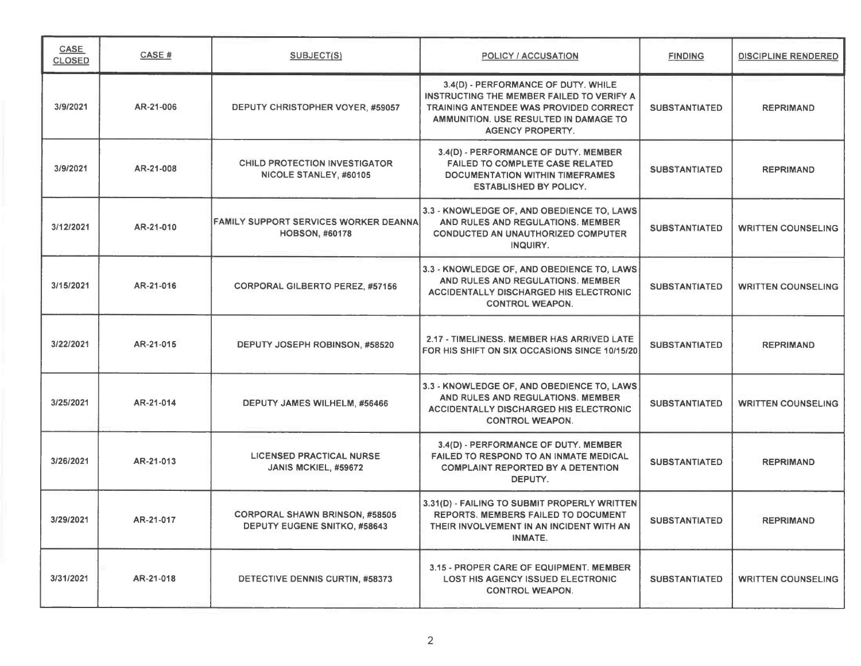| <b>CASE</b><br><b>CLOSED</b> | CASE #    | <b>SUBJECT(S)</b>                                                     | <b>POLICY / ACCUSATION</b>                                                                                                                                                                     | <b>FINDING</b>       | <b>DISCIPLINE RENDERED</b> |
|------------------------------|-----------|-----------------------------------------------------------------------|------------------------------------------------------------------------------------------------------------------------------------------------------------------------------------------------|----------------------|----------------------------|
| 3/9/2021                     | AR-21-006 | DEPUTY CHRISTOPHER VOYER, #59057                                      | 3.4(D) - PERFORMANCE OF DUTY. WHILE<br>INSTRUCTING THE MEMBER FAILED TO VERIFY A<br>TRAINING ANTENDEE WAS PROVIDED CORRECT<br>AMMUNITION. USE RESULTED IN DAMAGE TO<br><b>AGENCY PROPERTY.</b> | <b>SUBSTANTIATED</b> | <b>REPRIMAND</b>           |
| 3/9/2021                     | AR-21-008 | <b>CHILD PROTECTION INVESTIGATOR</b><br>NICOLE STANLEY, #60105        | 3.4(D) - PERFORMANCE OF DUTY. MEMBER<br><b>FAILED TO COMPLETE CASE RELATED</b><br><b>DOCUMENTATION WITHIN TIMEFRAMES</b><br><b>ESTABLISHED BY POLICY.</b>                                      | <b>SUBSTANTIATED</b> | <b>REPRIMAND</b>           |
| 3/12/2021                    | AR-21-010 | <b>FAMILY SUPPORT SERVICES WORKER DEANNA</b><br><b>HOBSON, #60178</b> | 3.3 - KNOWLEDGE OF, AND OBEDIENCE TO, LAWS<br>AND RULES AND REGULATIONS. MEMBER<br>CONDUCTED AN UNAUTHORIZED COMPUTER<br>INQUIRY.                                                              | <b>SUBSTANTIATED</b> | <b>WRITTEN COUNSELING</b>  |
| 3/15/2021                    | AR-21-016 | <b>CORPORAL GILBERTO PEREZ, #57156</b>                                | 3.3 - KNOWLEDGE OF, AND OBEDIENCE TO, LAWS<br>AND RULES AND REGULATIONS. MEMBER<br><b>ACCIDENTALLY DISCHARGED HIS ELECTRONIC</b><br><b>CONTROL WEAPON.</b>                                     | <b>SUBSTANTIATED</b> | <b>WRITTEN COUNSELING</b>  |
| 3/22/2021                    | AR-21-015 | DEPUTY JOSEPH ROBINSON, #58520                                        | 2.17 - TIMELINESS. MEMBER HAS ARRIVED LATE<br>FOR HIS SHIFT ON SIX OCCASIONS SINCE 10/15/20                                                                                                    | <b>SUBSTANTIATED</b> | <b>REPRIMAND</b>           |
| 3/25/2021                    | AR-21-014 | DEPUTY JAMES WILHELM, #56466                                          | 3.3 - KNOWLEDGE OF, AND OBEDIENCE TO, LAWS<br>AND RULES AND REGULATIONS. MEMBER<br><b>ACCIDENTALLY DISCHARGED HIS ELECTRONIC</b><br><b>CONTROL WEAPON.</b>                                     | <b>SUBSTANTIATED</b> | <b>WRITTEN COUNSELING</b>  |
| 3/26/2021                    | AR-21-013 | <b>LICENSED PRACTICAL NURSE</b><br>JANIS MCKIEL, #59672               | 3.4(D) - PERFORMANCE OF DUTY. MEMBER<br><b>FAILED TO RESPOND TO AN INMATE MEDICAL</b><br><b>COMPLAINT REPORTED BY A DETENTION</b><br>DEPUTY.                                                   | <b>SUBSTANTIATED</b> | <b>REPRIMAND</b>           |
| 3/29/2021                    | AR-21-017 | <b>CORPORAL SHAWN BRINSON, #58505</b><br>DEPUTY EUGENE SNITKO, #58643 | 3.31(D) - FAILING TO SUBMIT PROPERLY WRITTEN<br><b>REPORTS. MEMBERS FAILED TO DOCUMENT</b><br>THEIR INVOLVEMENT IN AN INCIDENT WITH AN<br>INMATE.                                              | <b>SUBSTANTIATED</b> | <b>REPRIMAND</b>           |
| 3/31/2021                    | AR-21-018 | DETECTIVE DENNIS CURTIN, #58373                                       | 3.15 - PROPER CARE OF EQUIPMENT, MEMBER<br><b>LOST HIS AGENCY ISSUED ELECTRONIC</b><br><b>CONTROL WEAPON.</b>                                                                                  | <b>SUBSTANTIATED</b> | <b>WRITTEN COUNSELING</b>  |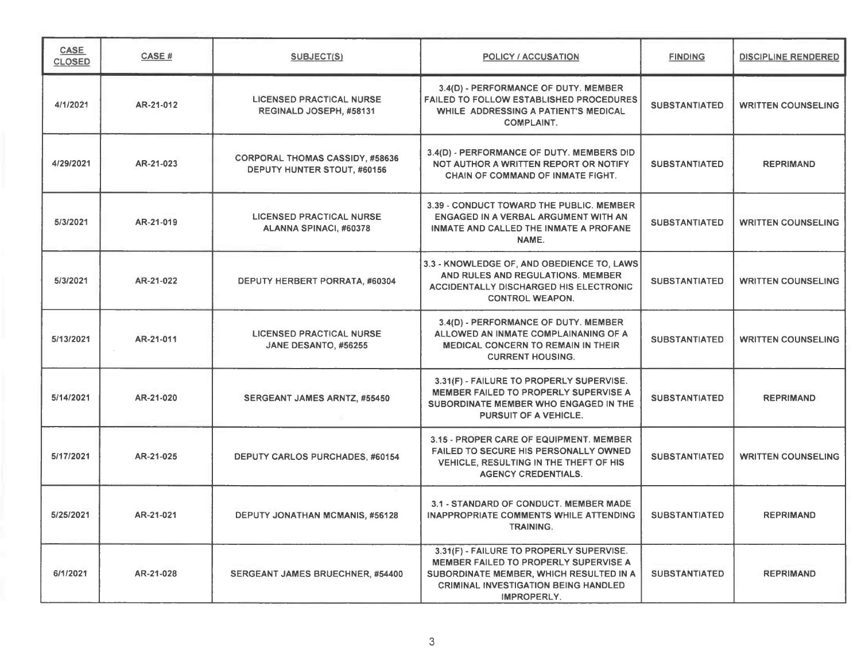| <b>CASE</b><br><b>CLOSED</b> | <b>CASE#</b> | SUBJECT(S)                                                            | <b>POLICY / ACCUSATION</b>                                                                                                                                                                 | <b>FINDING</b>       | <b>DISCIPLINE RENDERED</b> |
|------------------------------|--------------|-----------------------------------------------------------------------|--------------------------------------------------------------------------------------------------------------------------------------------------------------------------------------------|----------------------|----------------------------|
| 4/1/2021                     | AR-21-012    | <b>LICENSED PRACTICAL NURSE</b><br>REGINALD JOSEPH, #58131            | 3.4(D) - PERFORMANCE OF DUTY. MEMBER<br><b>FAILED TO FOLLOW ESTABLISHED PROCEDURES</b><br>WHILE ADDRESSING A PATIENT'S MEDICAL<br><b>COMPLAINT.</b>                                        | <b>SUBSTANTIATED</b> | <b>WRITTEN COUNSELING</b>  |
| 4/29/2021                    | AR-21-023    | <b>CORPORAL THOMAS CASSIDY, #58636</b><br>DEPUTY HUNTER STOUT, #60156 | 3.4(D) - PERFORMANCE OF DUTY. MEMBERS DID<br>NOT AUTHOR A WRITTEN REPORT OR NOTIFY<br>CHAIN OF COMMAND OF INMATE FIGHT.                                                                    | <b>SUBSTANTIATED</b> | <b>REPRIMAND</b>           |
| 5/3/2021                     | AR-21-019    | <b>LICENSED PRACTICAL NURSE</b><br>ALANNA SPINACI, #60378             | 3.39 - CONDUCT TOWARD THE PUBLIC. MEMBER<br>ENGAGED IN A VERBAL ARGUMENT WITH AN<br>INMATE AND CALLED THE INMATE A PROFANE<br>NAME.                                                        | <b>SUBSTANTIATED</b> | <b>WRITTEN COUNSELING</b>  |
| 5/3/2021                     | AR-21-022    | DEPUTY HERBERT PORRATA, #60304                                        | 3.3 - KNOWLEDGE OF, AND OBEDIENCE TO, LAWS<br>AND RULES AND REGULATIONS. MEMBER<br><b>ACCIDENTALLY DISCHARGED HIS ELECTRONIC</b><br><b>CONTROL WEAPON.</b>                                 | <b>SUBSTANTIATED</b> | <b>WRITTEN COUNSELING</b>  |
| 5/13/2021                    | AR-21-011    | <b>LICENSED PRACTICAL NURSE</b><br>JANE DESANTO, #56255               | 3.4(D) - PERFORMANCE OF DUTY. MEMBER<br>ALLOWED AN INMATE COMPLAINANING OF A<br><b>MEDICAL CONCERN TO REMAIN IN THEIR</b><br><b>CURRENT HOUSING.</b>                                       | <b>SUBSTANTIATED</b> | <b>WRITTEN COUNSELING</b>  |
| 5/14/2021                    | AR-21-020    | <b>SERGEANT JAMES ARNTZ, #55450</b>                                   | 3.31(F) - FAILURE TO PROPERLY SUPERVISE.<br>MEMBER FAILED TO PROPERLY SUPERVISE A<br>SUBORDINATE MEMBER WHO ENGAGED IN THE<br>PURSUIT OF A VEHICLE.                                        | <b>SUBSTANTIATED</b> | <b>REPRIMAND</b>           |
| 5/17/2021                    | AR-21-025    | <b>DEPUTY CARLOS PURCHADES, #60154</b>                                | 3.15 - PROPER CARE OF EQUIPMENT. MEMBER<br>FAILED TO SECURE HIS PERSONALLY OWNED<br>VEHICLE, RESULTING IN THE THEFT OF HIS<br><b>AGENCY CREDENTIALS.</b>                                   | <b>SUBSTANTIATED</b> | <b>WRITTEN COUNSELING</b>  |
| 5/25/2021                    | AR-21-021    | <b>DEPUTY JONATHAN MCMANIS, #56128</b>                                | 3.1 - STANDARD OF CONDUCT. MEMBER MADE<br><b>INAPPROPRIATE COMMENTS WHILE ATTENDING</b><br>TRAINING.                                                                                       | <b>SUBSTANTIATED</b> | <b>REPRIMAND</b>           |
| 6/1/2021                     | AR-21-028    | SERGEANT JAMES BRUECHNER, #54400                                      | 3.31(F) - FAILURE TO PROPERLY SUPERVISE.<br>MEMBER FAILED TO PROPERLY SUPERVISE A<br>SUBORDINATE MEMBER, WHICH RESULTED IN A<br><b>CRIMINAL INVESTIGATION BEING HANDLED</b><br>IMPROPERLY. | <b>SUBSTANTIATED</b> | <b>REPRIMAND</b>           |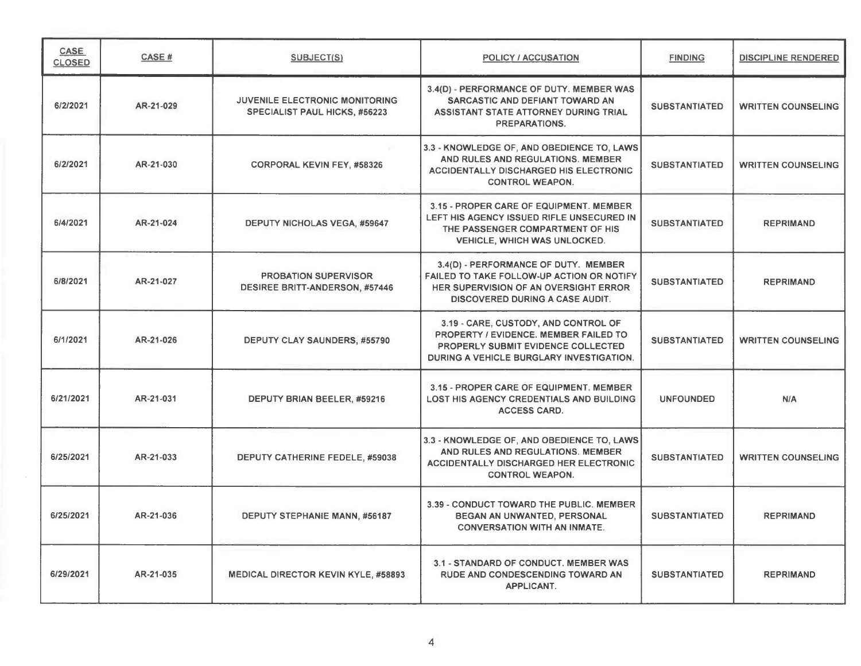| <b>CASE</b><br><b>CLOSED</b> | CASE #    | <b>SUBJECT(S)</b>                                                      | <b>POLICY / ACCUSATION</b>                                                                                                                                             | <b>FINDING</b>       | <b>DISCIPLINE RENDERED</b> |
|------------------------------|-----------|------------------------------------------------------------------------|------------------------------------------------------------------------------------------------------------------------------------------------------------------------|----------------------|----------------------------|
| 6/2/2021                     | AR-21-029 | <b>JUVENILE ELECTRONIC MONITORING</b><br>SPECIALIST PAUL HICKS, #56223 | 3.4(D) - PERFORMANCE OF DUTY. MEMBER WAS<br>SARCASTIC AND DEFIANT TOWARD AN<br>ASSISTANT STATE ATTORNEY DURING TRIAL<br>PREPARATIONS.                                  | <b>SUBSTANTIATED</b> | <b>WRITTEN COUNSELING</b>  |
| 6/2/2021                     | AR-21-030 | <b>CORPORAL KEVIN FEY, #58326</b>                                      | 3.3 - KNOWLEDGE OF, AND OBEDIENCE TO, LAWS<br>AND RULES AND REGULATIONS. MEMBER<br><b>ACCIDENTALLY DISCHARGED HIS ELECTRONIC</b><br><b>CONTROL WEAPON.</b>             | <b>SUBSTANTIATED</b> | <b>WRITTEN COUNSELING</b>  |
| 6/4/2021                     | AR-21-024 | <b>DEPUTY NICHOLAS VEGA, #59647</b>                                    | 3.15 - PROPER CARE OF EQUIPMENT. MEMBER<br>LEFT HIS AGENCY ISSUED RIFLE UNSECURED IN<br>THE PASSENGER COMPARTMENT OF HIS<br><b>VEHICLE, WHICH WAS UNLOCKED.</b>        | <b>SUBSTANTIATED</b> | <b>REPRIMAND</b>           |
| 6/8/2021                     | AR-21-027 | <b>PROBATION SUPERVISOR</b><br><b>DESIREE BRITT-ANDERSON, #57446</b>   | 3.4(D) - PERFORMANCE OF DUTY. MEMBER<br>FAILED TO TAKE FOLLOW-UP ACTION OR NOTIFY<br>HER SUPERVISION OF AN OVERSIGHT ERROR<br><b>DISCOVERED DURING A CASE AUDIT.</b>   | <b>SUBSTANTIATED</b> | <b>REPRIMAND</b>           |
| 6/1/2021                     | AR-21-026 | DEPUTY CLAY SAUNDERS, #55790                                           | 3.19 - CARE, CUSTODY, AND CONTROL OF<br><b>PROPERTY / EVIDENCE. MEMBER FAILED TO</b><br>PROPERLY SUBMIT EVIDENCE COLLECTED<br>DURING A VEHICLE BURGLARY INVESTIGATION. | <b>SUBSTANTIATED</b> | <b>WRITTEN COUNSELING</b>  |
| 6/21/2021                    | AR-21-031 | DEPUTY BRIAN BEELER, #59216                                            | 3.15 - PROPER CARE OF EQUIPMENT. MEMBER<br>LOST HIS AGENCY CREDENTIALS AND BUILDING<br><b>ACCESS CARD.</b>                                                             | <b>UNFOUNDED</b>     | <b>N/A</b>                 |
| 6/25/2021                    | AR-21-033 | DEPUTY CATHERINE FEDELE, #59038                                        | 3.3 - KNOWLEDGE OF, AND OBEDIENCE TO, LAWS<br>AND RULES AND REGULATIONS. MEMBER<br><b>ACCIDENTALLY DISCHARGED HER ELECTRONIC</b><br><b>CONTROL WEAPON.</b>             | <b>SUBSTANTIATED</b> | <b>WRITTEN COUNSELING</b>  |
| 6/25/2021                    | AR-21-036 | DEPUTY STEPHANIE MANN, #56187                                          | 3.39 - CONDUCT TOWARD THE PUBLIC, MEMBER<br>BEGAN AN UNWANTED, PERSONAL<br><b>CONVERSATION WITH AN INMATE.</b>                                                         | <b>SUBSTANTIATED</b> | <b>REPRIMAND</b>           |
| 6/29/2021                    | AR-21-035 | <b>MEDICAL DIRECTOR KEVIN KYLE, #58893</b>                             | 3.1 - STANDARD OF CONDUCT. MEMBER WAS<br><b>RUDE AND CONDESCENDING TOWARD AN</b><br>APPLICANT.                                                                         | <b>SUBSTANTIATED</b> | <b>REPRIMAND</b>           |